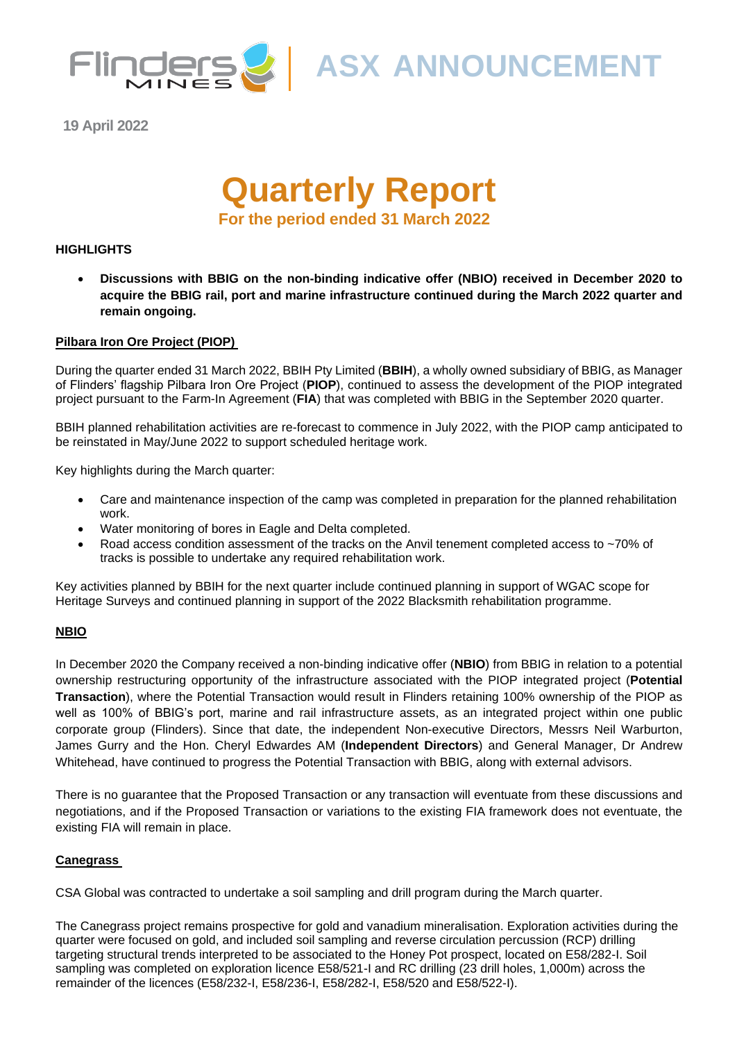

Flinders ASX ANNOUNCEMENT

**19 April 2022**

# **Quarterly Report For the period ended 31 March 2022**

#### **HIGHLIGHTS**

• **Discussions with BBIG on the non-binding indicative offer (NBIO) received in December 2020 to acquire the BBIG rail, port and marine infrastructure continued during the March 2022 quarter and remain ongoing.**

#### **Pilbara Iron Ore Project (PIOP)**

During the quarter ended 31 March 2022, BBIH Pty Limited (**BBIH**), a wholly owned subsidiary of BBIG, as Manager of Flinders' flagship Pilbara Iron Ore Project (**PIOP**), continued to assess the development of the PIOP integrated project pursuant to the Farm-In Agreement (**FIA**) that was completed with BBIG in the September 2020 quarter.

BBIH planned rehabilitation activities are re-forecast to commence in July 2022, with the PIOP camp anticipated to be reinstated in May/June 2022 to support scheduled heritage work.

Key highlights during the March quarter:

- Care and maintenance inspection of the camp was completed in preparation for the planned rehabilitation work.
- Water monitoring of bores in Eagle and Delta completed.
- Road access condition assessment of the tracks on the Anvil tenement completed access to ~70% of tracks is possible to undertake any required rehabilitation work.

Key activities planned by BBIH for the next quarter include continued planning in support of WGAC scope for Heritage Surveys and continued planning in support of the 2022 Blacksmith rehabilitation programme.

#### **NBIO**

In December 2020 the Company received a non-binding indicative offer (**NBIO**) from BBIG in relation to a potential ownership restructuring opportunity of the infrastructure associated with the PIOP integrated project (**Potential Transaction**), where the Potential Transaction would result in Flinders retaining 100% ownership of the PIOP as well as 100% of BBIG's port, marine and rail infrastructure assets, as an integrated project within one public corporate group (Flinders). Since that date, the independent Non-executive Directors, Messrs Neil Warburton, James Gurry and the Hon. Cheryl Edwardes AM (**Independent Directors**) and General Manager, Dr Andrew Whitehead, have continued to progress the Potential Transaction with BBIG, along with external advisors.

There is no guarantee that the Proposed Transaction or any transaction will eventuate from these discussions and negotiations, and if the Proposed Transaction or variations to the existing FIA framework does not eventuate, the existing FIA will remain in place.

#### **Canegrass**

CSA Global was contracted to undertake a soil sampling and drill program during the March quarter.

The Canegrass project remains prospective for gold and vanadium mineralisation. Exploration activities during the quarter were focused on gold, and included soil sampling and reverse circulation percussion (RCP) drilling targeting structural trends interpreted to be associated to the Honey Pot prospect, located on E58/282-I. Soil sampling was completed on exploration licence E58/521-I and RC drilling (23 drill holes, 1,000m) across the remainder of the licences (E58/232-I, E58/236-I, E58/282-I, E58/520 and E58/522-I).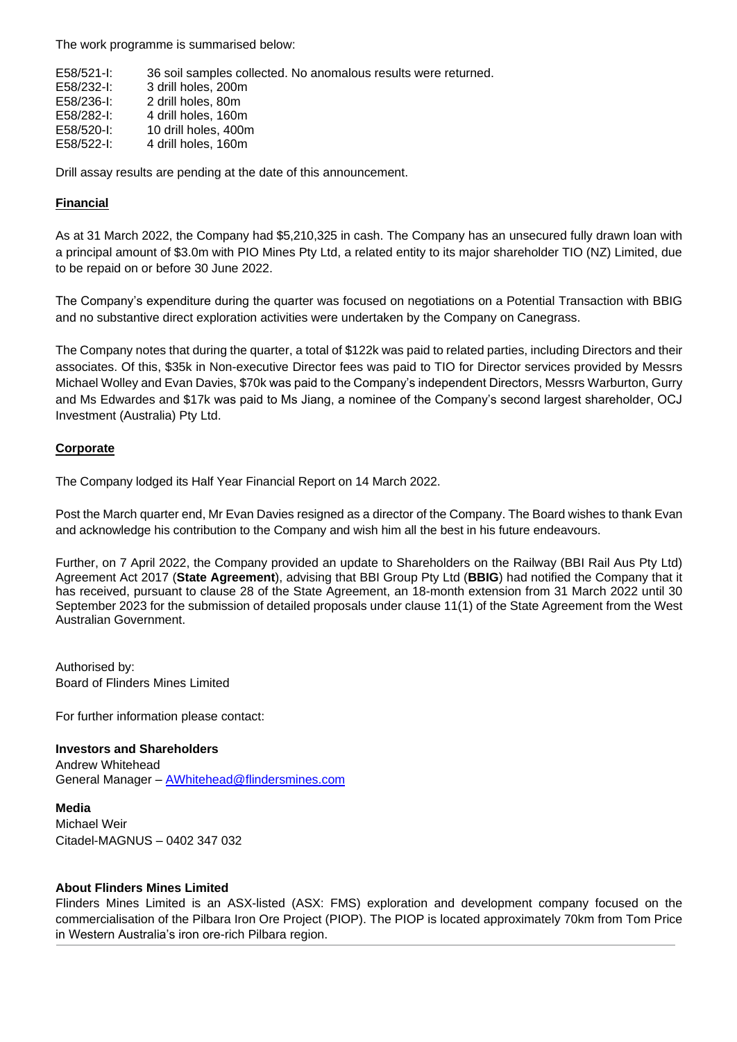The work programme is summarised below:

| E58/521-I: | 36 soil samples collected. No anomalous results were returned. |
|------------|----------------------------------------------------------------|
| E58/232-I: | 3 drill holes, 200m                                            |
| E58/236-I: | 2 drill holes, 80m                                             |
| E58/282-I: | 4 drill holes, 160m                                            |
| E58/520-I: | 10 drill holes, 400m                                           |
| E58/522-I: | 4 drill holes, 160m                                            |
|            |                                                                |

Drill assay results are pending at the date of this announcement.

#### **Financial**

As at 31 March 2022, the Company had \$5,210,325 in cash. The Company has an unsecured fully drawn loan with a principal amount of \$3.0m with PIO Mines Pty Ltd, a related entity to its major shareholder TIO (NZ) Limited, due to be repaid on or before 30 June 2022.

The Company's expenditure during the quarter was focused on negotiations on a Potential Transaction with BBIG and no substantive direct exploration activities were undertaken by the Company on Canegrass.

The Company notes that during the quarter, a total of \$122k was paid to related parties, including Directors and their associates. Of this, \$35k in Non-executive Director fees was paid to TIO for Director services provided by Messrs Michael Wolley and Evan Davies, \$70k was paid to the Company's independent Directors, Messrs Warburton, Gurry and Ms Edwardes and \$17k was paid to Ms Jiang, a nominee of the Company's second largest shareholder, OCJ Investment (Australia) Pty Ltd.

#### **Corporate**

The Company lodged its Half Year Financial Report on 14 March 2022.

Post the March quarter end, Mr Evan Davies resigned as a director of the Company. The Board wishes to thank Evan and acknowledge his contribution to the Company and wish him all the best in his future endeavours.

Further, on 7 April 2022, the Company provided an update to Shareholders on the Railway (BBI Rail Aus Pty Ltd) Agreement Act 2017 (**State Agreement**), advising that BBI Group Pty Ltd (**BBIG**) had notified the Company that it has received, pursuant to clause 28 of the State Agreement, an 18-month extension from 31 March 2022 until 30 September 2023 for the submission of detailed proposals under clause 11(1) of the State Agreement from the West Australian Government.

Authorised by: Board of Flinders Mines Limited

For further information please contact:

#### **Investors and Shareholders**

Andrew Whitehead General Manager - **[AWhitehead@flindersmines.com](mailto:AWhitehead@flindersmines.com)** 

#### **Media**

Michael Weir Citadel-MAGNUS – 0402 347 032

#### **About Flinders Mines Limited**

Flinders Mines Limited is an ASX-listed (ASX: FMS) exploration and development company focused on the commercialisation of the Pilbara Iron Ore Project (PIOP). The PIOP is located approximately 70km from Tom Price in Western Australia's iron ore-rich Pilbara region.